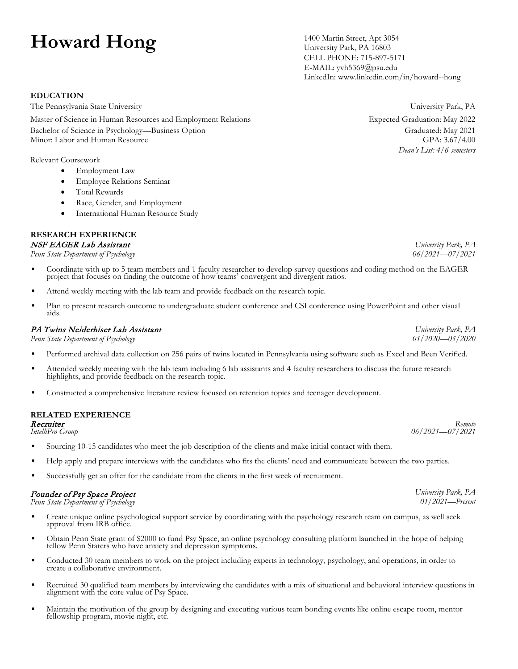# **Howard Hong** 1400 Martin Street, Apt 3054

University Park, PA 16803 CELL PHONE: 715-897-5171 E-MAIL: yvh5369@psu.edu LinkedIn: www.linkedin.com/in/howard--hong

*Dean's List: 4/6 semesters*

*University Park, PA 06/2021—07/2021*

*University Park, PA 01/2020—05/2020*

*06/2021—07/2021*

*University Park, PA 01/2021—Present*

▪ Coordinate with up to 5 team members and 1 faculty researcher to develop survey questions and coding method on the EAGER project that focuses on finding the outcome of how teams' convergent and divergent ratios.

- **■** Attend weekly meeting with the lab team and provide feedback on the research topic.
- Plan to present research outcome to undergraduate student conference and CSI conference using PowerPoint and other visual aids.

## PA Twins Neiderhiser Lab Assistant

*Penn State Department of Psychology*

- Performed archival data collection on 256 pairs of twins located in Pennsylvania using software such as Excel and Been Verified.
- Attended weekly meeting with the lab team including 6 lab assistants and 4 faculty researchers to discuss the future research highlights, and provide feedback on the research topic.
- Constructed a comprehensive literature review focused on retention topics and teenager development.

#### **RELATED EXPERIENCE** Recruiter

*IntelliPro Group Remote* 

- Sourcing 10-15 candidates who meet the job description of the clients and make initial contact with them.
- Help apply and prepare interviews with the candidates who fits the clients' need and communicate between the two parties.
- Successfully get an offer for the candidate from the clients in the first week of recruitment.

# Founder of Psy Space Project *Penn State Department of Psychology*

- Create unique online psychological support service by coordinating with the psychology research team on campus, as well seek approval from IRB office.
- Obtain Penn State grant of \$2000 to fund Psy Space, an online psychology consulting platform launched in the hope of helping fellow Penn Staters who have anxiety and depression symptoms.
- Conducted 30 team members to work on the project including experts in technology, psychology, and operations, in order to create a collaborative environment.
- Recruited 30 qualified team members by interviewing the candidates with a mix of situational and behavioral interview questions in alignment with the core value of Psy Space.
- Maintain the motivation of the group by designing and executing various team bonding events like online escape room, mentor fellowship program, movie night, etc.

# **EDUCATION**

The Pennsylvania State University University Park, PA

Master of Science in Human Resources and Employment Relations Expected Graduation: May 2022 Bachelor of Science in Psychology—Business Option **Graduated: May 2021** Graduated: May 2021 Minor: Labor and Human Resource GPA: 3.67/4.00

Relevant Coursework

- Employment Law
- Employee Relations Seminar
- Total Rewards
- Race, Gender, and Employment
- International Human Resource Study

#### **RESEARCH EXPERIENCE** NSF EAGER Lab Assistant

*Penn State Department of Psychology*